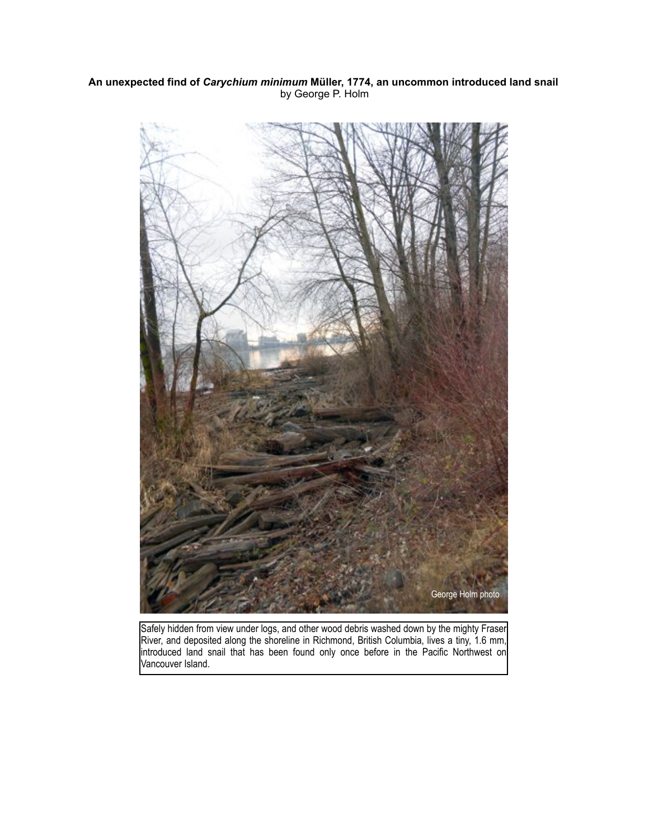## **An unexpected find of** *Carychium minimum* **Müller, 1774, an uncommon introduced land snail** by George P. Holm



Safely hidden from view under logs, and other wood debris washed down by the mighty Fraser River, and deposited along the shoreline in Richmond, British Columbia, lives a tiny, 1.6 mm, introduced land snail that has been found only once before in the Pacific Northwest on Vancouver Island.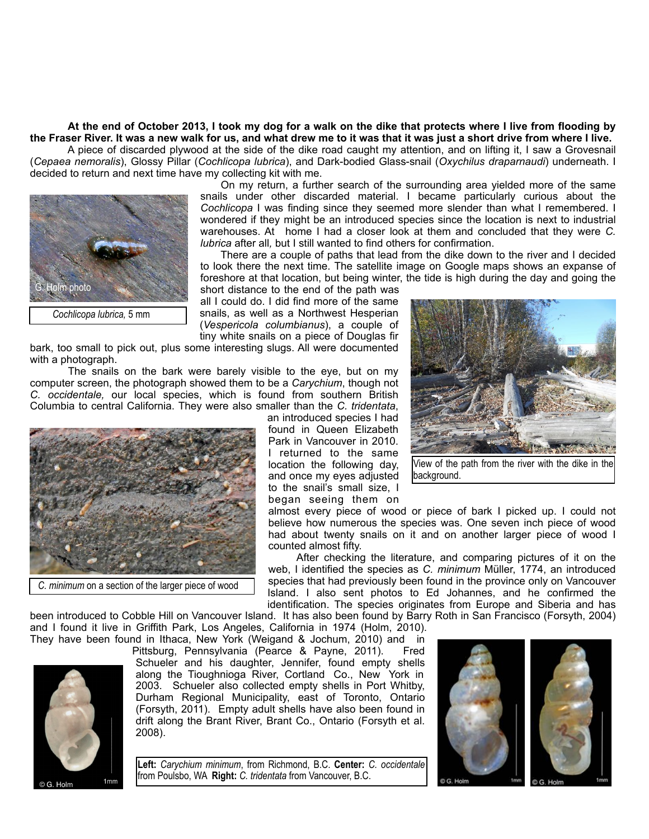**At the end of October 2013, I took my dog for a walk on the dike that protects where I live from flooding by the Fraser River. It was a new walk for us, and what drew me to it was that it was just a short drive from where I live.** 

 A piece of discarded plywood at the side of the dike road caught my attention, and on lifting it, I saw a Grovesnail (*Cepaea nemoralis*), Glossy Pillar (*Cochlicopa lubrica*), and Dark-bodied Glass-snail (*Oxychilus draparnaudi*) underneath. I decided to return and next time have my collecting kit with me.



 On my return, a further search of the surrounding area yielded more of the same snails under other discarded material. I became particularly curious about the *Cochlicopa* I was finding since they seemed more slender than what I remembered. I wondered if they might be an introduced species since the location is next to industrial warehouses. At home I had a closer look at them and concluded that they were *C. lubrica* after all*,* but I still wanted to find others for confirmation.

 There are a couple of paths that lead from the dike down to the river and I decided to look there the next time. The satellite image on Google maps shows an expanse of foreshore at that location, but being winter, the tide is high during the day and going the short distance to the end of the path was

all I could do. I did find more of the same snails, as well as a Northwest Hesperian (*Vespericola columbianus*), a couple of tiny white snails on a piece of Douglas fir

bark, too small to pick out, plus some interesting slugs. All were documented with a photograph.

 The snails on the bark were barely visible to the eye, but on my computer screen, the photograph showed them to be a *Carychium*, though not *C. occidentale,* our local species, which is found from southern British Columbia to central California. They were also smaller than the *C. tridentata*,



an introduced species I had found in Queen Elizabeth Park in Vancouver in 2010. I returned to the same location the following day, and once my eyes adjusted to the snail's small size, I began seeing them on



View of the path from the river with the dike in the background.

almost every piece of wood or piece of bark I picked up. I could not believe how numerous the species was. One seven inch piece of wood had about twenty snails on it and on another larger piece of wood I counted almost fifty.

After checking the literature, and comparing pictures of it on the web, I identified the species as *C. minimum* Müller, 1774, an introduced species that had previously been found in the province only on Vancouver Island. I also sent photos to Ed Johannes, and he confirmed the identification. The species originates from Europe and Siberia and has

been introduced to Cobble Hill on Vancouver Island. It has also been found by Barry Roth in San Francisco (Forsyth, 2004) and I found it live in Griffith Park, Los Angeles, California in 1974 (Holm, 2010). They have been found in Ithaca, New York (Weigand & Jochum, 2010) and in



Pittsburg, Pennsylvania (Pearce & Payne, 2011). Fred Schueler and his daughter, Jennifer, found empty shells along the Tioughnioga River, Cortland Co., New York in 2003. Schueler also collected empty shells in Port Whitby, Durham Regional Municipality, east of Toronto, Ontario (Forsyth, 2011). Empty adult shells have also been found in drift along the Brant River, Brant Co., Ontario (Forsyth et al. 2008).

**Left:** *Carychium minimum*, from Richmond, B.C. **Center:** *C. occidentale* from Poulsbo, WA **Right:** *C. tridentata* from Vancouver, B.C.